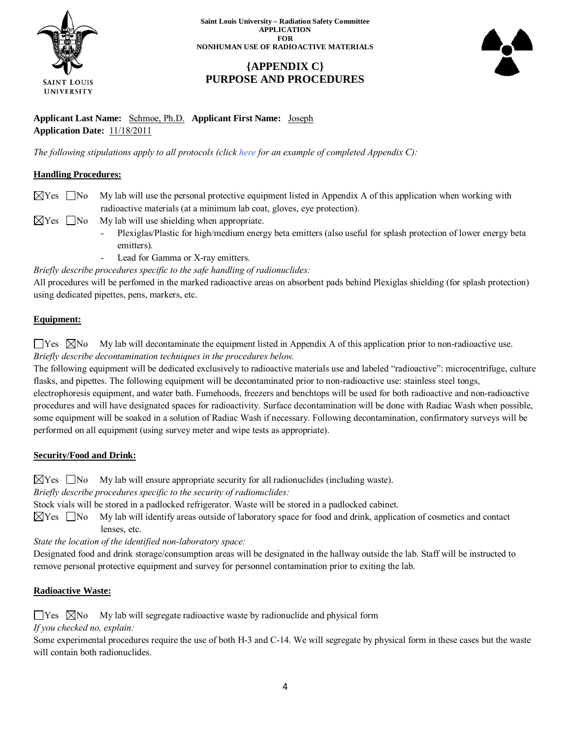

**Saint Louis University – Radiation Safety Committee APPLICATION FOR NONHUMAN USE OF RADIOACTIVE MATERIALS**

# **{APPENDIX C} PURPOSE AND PROCEDURES**



**Applicant Last Name:** Schmoe, Ph.D. **Applicant First Name:** Joseph **Application Date:** 11/18/2011

*The following stipulations apply to all protocols (click here for an example of completed Appendix C):*

# **Handling Procedures:**

- $\boxtimes$  Yes  $\Box$  No My lab will use the personal protective equipment listed in Appendix A of this application when working with radioactive materials (at a minimum lab coat, gloves, eye protection).
- $\boxtimes$  Yes  $\Box$  No My lab will use shielding when appropriate.
	- Plexiglas/Plastic for high/medium energy beta emitters (also useful for splash protection of lower energy beta emitters).
	- Lead for Gamma or X-ray emitters.

*Briefly describe procedures specific to the safe handling of radionuclides:*

All procedures will be perfomed in the marked radioactive areas on absorbent pads behind Plexiglas shielding (for splash protection) using dedicated pipettes, pens, markers, etc.

## **Equipment:**

 $\Box$  Yes  $\Box$  No My lab will decontaminate the equipment listed in Appendix A of this application prior to non-radioactive use. *Briefly describe decontamination techniques in the procedures below.*

The following equipment will be dedicated exclusively to radioactive materials use and labeled "radioactive": microcentrifuge, culture flasks, and pipettes. The following equipment will be decontaminated prior to non-radioactive use: stainless steel tongs,

electrophoresis equipment, and water bath. Fumehoods, freezers and benchtops will be used for both radioactive and non-radioactive procedures and will have designated spaces for radioactivity. Surface decontamination will be done with Radiac Wash when possible, some equipment will be soaked in a solution of Radiac Wash if necessary. Following decontamination, confirmatory surveys will be performed on all equipment (using survey meter and wipe tests as appropriate).

## **Security/Food and Drink:**

 $\boxtimes$  Yes  $\Box$  No My lab will ensure appropriate security for all radionuclides (including waste).

*Briefly describe procedures specific to the security of radionuclides:*

Stock vials will be stored in a padlocked refrigerator. Waste will be stored in a padlocked cabinet.

 $\boxtimes$  Yes  $\Box$  No My lab will identify areas outside of laboratory space for food and drink, application of cosmetics and contact lenses, etc.

*State the location of the identified non-laboratory space:*

Designated food and drink storage/consumption areas will be designated in the hallway outside the lab. Staff will be instructed to remove personal protective equipment and survey for personnel contamination prior to exiting the lab.

## **Radioactive Waste:**

 $\Box$  Yes  $\Box$  No My lab will segregate radioactive waste by radionuclide and physical form

*If you checked no, explain:*

Some experimental procedures require the use of both H-3 and C-14. We will segregate by physical form in these cases but the waste will contain both radionuclides.